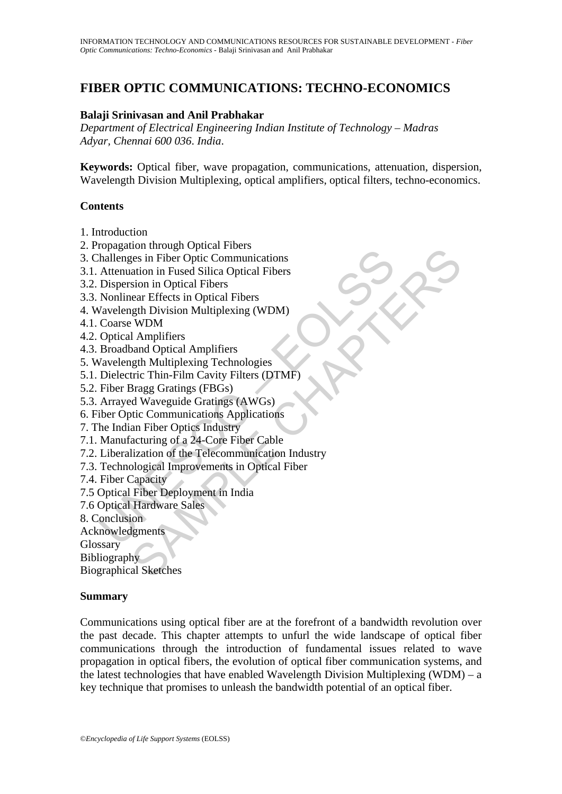# **FIBER OPTIC COMMUNICATIONS: TECHNO-ECONOMICS**

## **Balaji Srinivasan and Anil Prabhakar**

*Department of Electrical Engineering Indian Institute of Technology – Madras Adyar, Chennai 600 036*. *India*.

**Keywords:** Optical fiber, wave propagation, communications, attenuation, dispersion, Wavelength Division Multiplexing, optical amplifiers, optical filters, techno-economics.

#### **Contents**

- 1. Introduction
- 2. Propagation through Optical Fibers
- 3. Challenges in Fiber Optic Communications
- 3.1. Attenuation in Fused Silica Optical Fibers
- 3.2. Dispersion in Optical Fibers
- 3.3. Nonlinear Effects in Optical Fibers
- 4. Wavelength Division Multiplexing (WDM)
- 4.1. Coarse WDM
- 4.2. Optical Amplifiers
- 4.3. Broadband Optical Amplifiers
- 5. Wavelength Multiplexing Technologies
- 5.1. Dielectric Thin-Film Cavity Filters (DTMF)
- 5.2. Fiber Bragg Gratings (FBGs)
- 5.3. Arrayed Waveguide Gratings (AWGs)
- 6. Fiber Optic Communications Applications
- 7. The Indian Fiber Optics Industry
- 7.1. Manufacturing of a 24-Core Fiber Cable
- Forgation annough replacements<br>
Anallenges in Fiber Optic Communications<br>
Attenuation in Fused Silica Optical Fibers<br>
Dispersion in Optical Fibers<br>
Nonlinear Effects in Optical Fibers<br>
Vavelength Division Multiplexing (WDM From the priori Christman Total<br>The Optical Tuber Optic Communications<br>attion in Fused Silica Optical Fibers<br>stan in Optical Fibers<br>stan in Optical Fibers<br>and Division Multiplexing (WDM)<br>wDM<br>wDM<br>and Optical Amplifiers<br>and 7.2. Liberalization of the Telecommunication Industry
- 7.3. Technological Improvements in Optical Fiber
- 7.4. Fiber Capacity
- 7.5 Optical Fiber Deployment in India
- 7.6 Optical Hardware Sales
- 8. Conclusion
- Acknowledgments
- **Glossary**
- Bibliography

Biographical Sketches

#### **Summary**

Communications using optical fiber are at the forefront of a bandwidth revolution over the past decade. This chapter attempts to unfurl the wide landscape of optical fiber communications through the introduction of fundamental issues related to wave propagation in optical fibers, the evolution of optical fiber communication systems, and the latest technologies that have enabled Wavelength Division Multiplexing (WDM) – a key technique that promises to unleash the bandwidth potential of an optical fiber.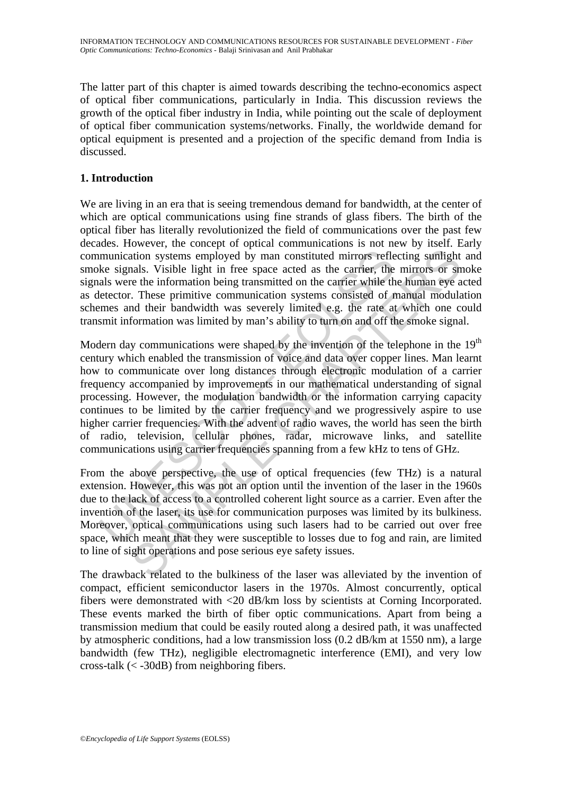The latter part of this chapter is aimed towards describing the techno-economics aspect of optical fiber communications, particularly in India. This discussion reviews the growth of the optical fiber industry in India, while pointing out the scale of deployment of optical fiber communication systems/networks. Finally, the worldwide demand for optical equipment is presented and a projection of the specific demand from India is discussed.

# **1. Introduction**

We are living in an era that is seeing tremendous demand for bandwidth, at the center of which are optical communications using fine strands of glass fibers. The birth of the optical fiber has literally revolutionized the field of communications over the past few decades. However, the concept of optical communications is not new by itself. Early communication systems employed by man constituted mirrors reflecting sunlight and smoke signals. Visible light in free space acted as the carrier, the mirrors or smoke signals were the information being transmitted on the carrier while the human eye acted as detector. These primitive communication systems consisted of manual modulation schemes and their bandwidth was severely limited e.g. the rate at which one could transmit information was limited by man's ability to turn on and off the smoke signal.

munication systems employed by man constituted mirrors reflected as the carrier, the signals. Visible light in free space acted as the carrier, the als were the information being transmitted on the carrier while the effect about the modulation bare sures are the information systems employed by man constituted mirrors reflecting sumlight<br>aals. Visible light in free space acted as the carrier, the mirrors or sn<br>e the information being transmi Modern day communications were shaped by the invention of the telephone in the  $19<sup>th</sup>$ century which enabled the transmission of voice and data over copper lines. Man learnt how to communicate over long distances through electronic modulation of a carrier frequency accompanied by improvements in our mathematical understanding of signal processing. However, the modulation bandwidth or the information carrying capacity continues to be limited by the carrier frequency and we progressively aspire to use higher carrier frequencies. With the advent of radio waves, the world has seen the birth of radio, television, cellular phones, radar, microwave links, and satellite communications using carrier frequencies spanning from a few kHz to tens of GHz.

From the above perspective, the use of optical frequencies (few THz) is a natural extension. However, this was not an option until the invention of the laser in the 1960s due to the lack of access to a controlled coherent light source as a carrier. Even after the invention of the laser, its use for communication purposes was limited by its bulkiness. Moreover, optical communications using such lasers had to be carried out over free space, which meant that they were susceptible to losses due to fog and rain, are limited to line of sight operations and pose serious eye safety issues.

The drawback related to the bulkiness of the laser was alleviated by the invention of compact, efficient semiconductor lasers in the 1970s. Almost concurrently, optical fibers were demonstrated with <20 dB/km loss by scientists at Corning Incorporated. These events marked the birth of fiber optic communications. Apart from being a transmission medium that could be easily routed along a desired path, it was unaffected by atmospheric conditions, had a low transmission loss (0.2 dB/km at 1550 nm), a large bandwidth (few THz), negligible electromagnetic interference (EMI), and very low cross-talk  $(<$  -30dB) from neighboring fibers.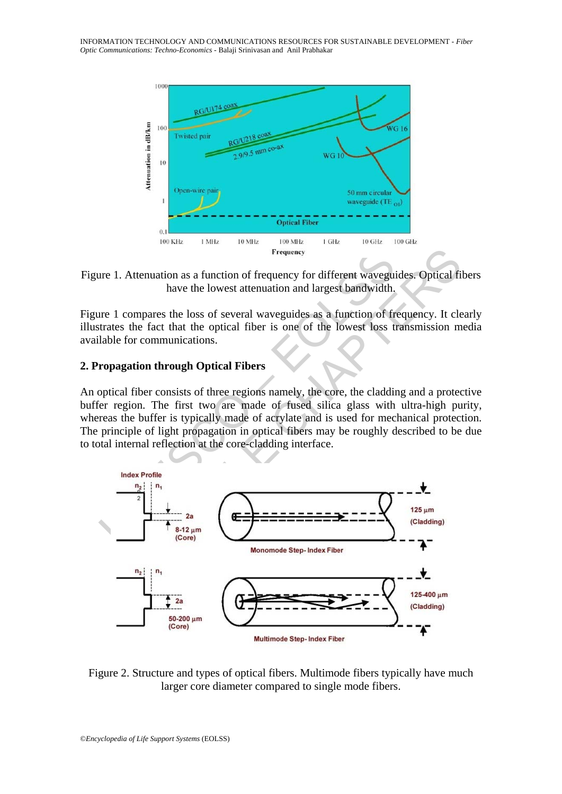

Figure 1. Attenuation as a function of frequency for different waveguides. Optical fibers have the lowest attenuation and largest bandwidth.

Figure 1 compares the loss of several waveguides as a function of frequency. It clearly illustrates the fact that the optical fiber is one of the lowest loss transmission media available for communications.

#### **2. Propagation through Optical Fibers**

An optical fiber consists of three regions namely, the core, the cladding and a protective buffer region. The first two are made of fused silica glass with ultra-high purity, whereas the buffer is typically made of acrylate and is used for mechanical protection. The principle of light propagation in optical fibers may be roughly described to be due to total internal reflection at the core-cladding interface.



Figure 2. Structure and types of optical fibers. Multimode fibers typically have much larger core diameter compared to single mode fibers.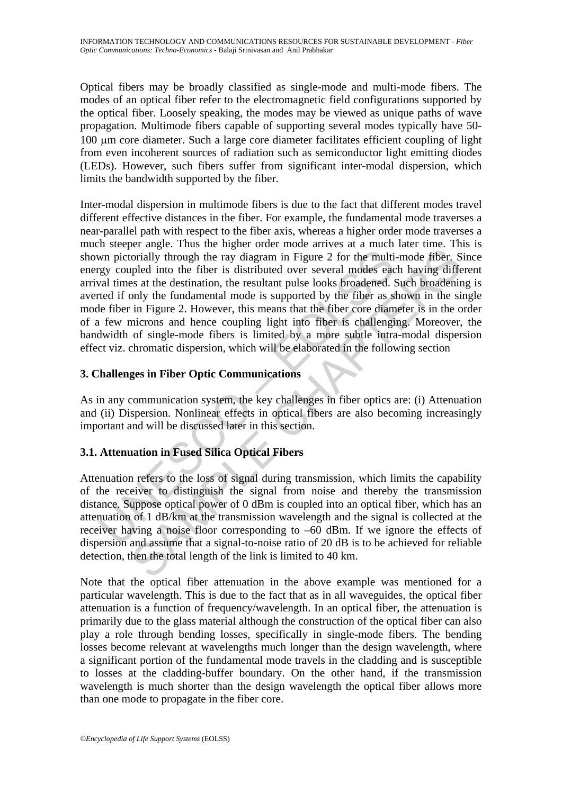Optical fibers may be broadly classified as single-mode and multi-mode fibers. The modes of an optical fiber refer to the electromagnetic field configurations supported by the optical fiber. Loosely speaking, the modes may be viewed as unique paths of wave propagation. Multimode fibers capable of supporting several modes typically have 50- 100 μm core diameter. Such a large core diameter facilitates efficient coupling of light from even incoherent sources of radiation such as semiconductor light emitting diodes (LEDs). However, such fibers suffer from significant inter-modal dispersion, which limits the bandwidth supported by the fiber.

wn pictorially through the ray diagram in Figure 2 for the multigy coupled into the fiber is distributed over several modes eac<br>al times at the destination, the resultant pulse looks broadened. Steel fifore in Figure 2. H So the curve and the ray diagram in Figure 2 for the multi-mode fiber. See the curve that the curve is detected over several modes each having differed into the fiber is distributed over several modes each having differed Inter-modal dispersion in multimode fibers is due to the fact that different modes travel different effective distances in the fiber. For example, the fundamental mode traverses a near-parallel path with respect to the fiber axis, whereas a higher order mode traverses a much steeper angle. Thus the higher order mode arrives at a much later time. This is shown pictorially through the ray diagram in Figure 2 for the multi-mode fiber. Since energy coupled into the fiber is distributed over several modes each having different arrival times at the destination, the resultant pulse looks broadened. Such broadening is averted if only the fundamental mode is supported by the fiber as shown in the single mode fiber in Figure 2. However, this means that the fiber core diameter is in the order of a few microns and hence coupling light into fiber is challenging. Moreover, the bandwidth of single-mode fibers is limited by a more subtle intra-modal dispersion effect viz. chromatic dispersion, which will be elaborated in the following section

# **3. Challenges in Fiber Optic Communications**

As in any communication system, the key challenges in fiber optics are: (i) Attenuation and (ii) Dispersion. Nonlinear effects in optical fibers are also becoming increasingly important and will be discussed later in this section.

# **3.1. Attenuation in Fused Silica Optical Fibers**

Attenuation refers to the loss of signal during transmission, which limits the capability of the receiver to distinguish the signal from noise and thereby the transmission distance. Suppose optical power of 0 dBm is coupled into an optical fiber, which has an attenuation of 1 dB/km at the transmission wavelength and the signal is collected at the receiver having a noise floor corresponding to –60 dBm. If we ignore the effects of dispersion and assume that a signal-to-noise ratio of 20 dB is to be achieved for reliable detection, then the total length of the link is limited to 40 km.

Note that the optical fiber attenuation in the above example was mentioned for a particular wavelength. This is due to the fact that as in all waveguides, the optical fiber attenuation is a function of frequency/wavelength. In an optical fiber, the attenuation is primarily due to the glass material although the construction of the optical fiber can also play a role through bending losses, specifically in single-mode fibers. The bending losses become relevant at wavelengths much longer than the design wavelength, where a significant portion of the fundamental mode travels in the cladding and is susceptible to losses at the cladding-buffer boundary. On the other hand, if the transmission wavelength is much shorter than the design wavelength the optical fiber allows more than one mode to propagate in the fiber core.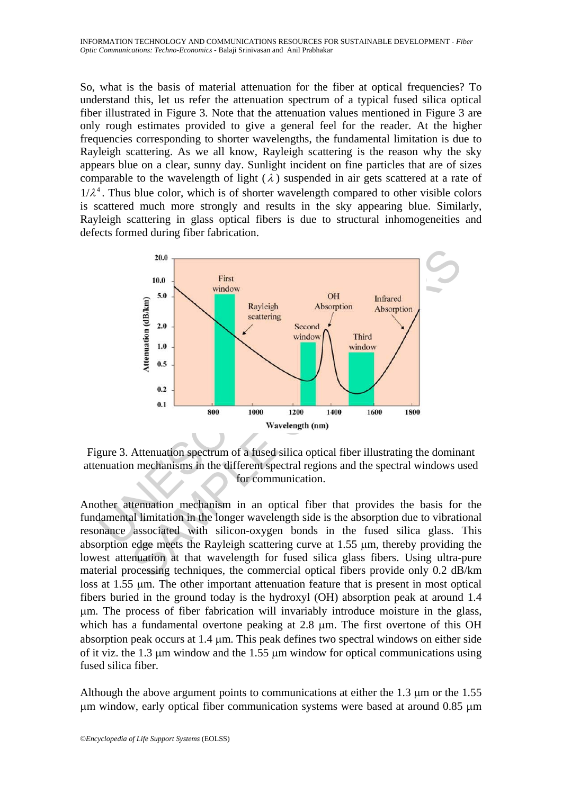So, what is the basis of material attenuation for the fiber at optical frequencies? To understand this, let us refer the attenuation spectrum of a typical fused silica optical fiber illustrated in Figure 3. Note that the attenuation values mentioned in Figure 3 are only rough estimates provided to give a general feel for the reader. At the higher frequencies corresponding to shorter wavelengths, the fundamental limitation is due to Rayleigh scattering. As we all know, Rayleigh scattering is the reason why the sky appears blue on a clear, sunny day. Sunlight incident on fine particles that are of sizes comparable to the wavelength of light  $(\lambda)$  suspended in air gets scattered at a rate of  $1/\lambda^4$ . Thus blue color, which is of shorter wavelength compared to other visible colors is scattered much more strongly and results in the sky appearing blue. Similarly, Rayleigh scattering in glass optical fibers is due to structural inhomogeneities and defects formed during fiber fabrication.



Figure 3. Attenuation spectrum of a fused silica optical fiber illustrating the dominant attenuation mechanisms in the different spectral regions and the spectral windows used for communication.

Another attenuation mechanism in an optical fiber that provides the basis for the fundamental limitation in the longer wavelength side is the absorption due to vibrational resonance associated with silicon-oxygen bonds in the fused silica glass. This absorption edge meets the Rayleigh scattering curve at 1.55 μm, thereby providing the lowest attenuation at that wavelength for fused silica glass fibers. Using ultra-pure material processing techniques, the commercial optical fibers provide only 0.2 dB/km loss at 1.55 μm. The other important attenuation feature that is present in most optical fibers buried in the ground today is the hydroxyl (OH) absorption peak at around 1.4 μm. The process of fiber fabrication will invariably introduce moisture in the glass, which has a fundamental overtone peaking at 2.8 μm. The first overtone of this OH absorption peak occurs at 1.4 μm. This peak defines two spectral windows on either side of it viz. the 1.3 μm window and the 1.55 μm window for optical communications using fused silica fiber.

Although the above argument points to communications at either the 1.3 μm or the 1.55 μm window, early optical fiber communication systems were based at around 0.85 μm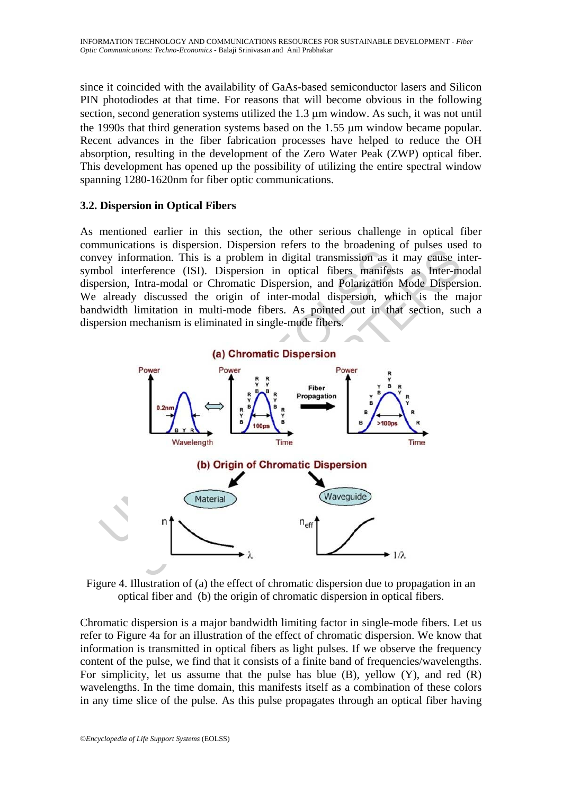since it coincided with the availability of GaAs-based semiconductor lasers and Silicon PIN photodiodes at that time. For reasons that will become obvious in the following section, second generation systems utilized the 1.3 μm window. As such, it was not until the 1990s that third generation systems based on the 1.55 μm window became popular. Recent advances in the fiber fabrication processes have helped to reduce the OH absorption, resulting in the development of the Zero Water Peak (ZWP) optical fiber. This development has opened up the possibility of utilizing the entire spectral window spanning 1280-1620nm for fiber optic communications.

### **3.2. Dispersion in Optical Fibers**

As mentioned earlier in this section, the other serious challenge in optical fiber communications is dispersion. Dispersion refers to the broadening of pulses used to convey information. This is a problem in digital transmission as it may cause intersymbol interference (ISI). Dispersion in optical fibers manifests as Inter-modal dispersion, Intra-modal or Chromatic Dispersion, and Polarization Mode Dispersion. We already discussed the origin of inter-modal dispersion, which is the major bandwidth limitation in multi-mode fibers. As pointed out in that section, such a dispersion mechanism is eliminated in single-mode fibers.



Figure 4. Illustration of (a) the effect of chromatic dispersion due to propagation in an optical fiber and (b) the origin of chromatic dispersion in optical fibers.

Chromatic dispersion is a major bandwidth limiting factor in single-mode fibers. Let us refer to Figure 4a for an illustration of the effect of chromatic dispersion. We know that information is transmitted in optical fibers as light pulses. If we observe the frequency content of the pulse, we find that it consists of a finite band of frequencies/wavelengths. For simplicity, let us assume that the pulse has blue  $(B)$ , yellow  $(Y)$ , and red  $(R)$ wavelengths. In the time domain, this manifests itself as a combination of these colors in any time slice of the pulse. As this pulse propagates through an optical fiber having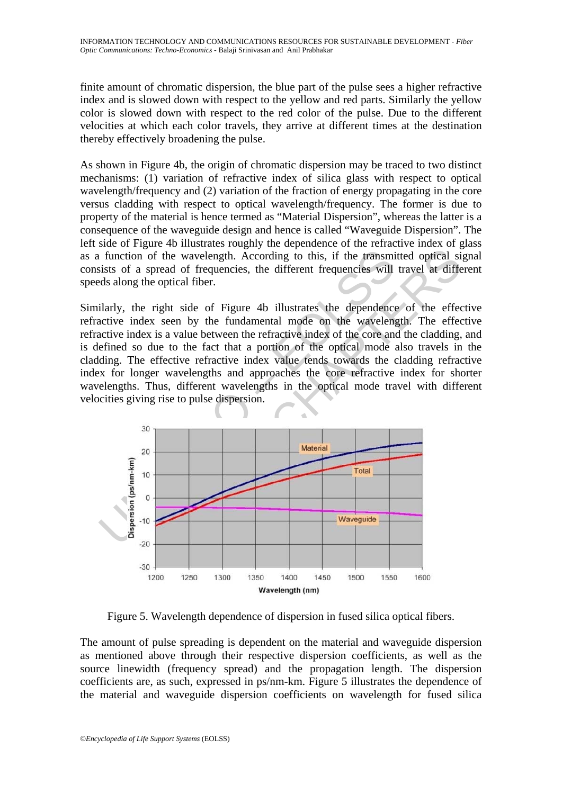finite amount of chromatic dispersion, the blue part of the pulse sees a higher refractive index and is slowed down with respect to the yellow and red parts. Similarly the yellow color is slowed down with respect to the red color of the pulse. Due to the different velocities at which each color travels, they arrive at different times at the destination thereby effectively broadening the pulse.

As shown in Figure 4b, the origin of chromatic dispersion may be traced to two distinct mechanisms: (1) variation of refractive index of silica glass with respect to optical wavelength/frequency and (2) variation of the fraction of energy propagating in the core versus cladding with respect to optical wavelength/frequency. The former is due to property of the material is hence termed as "Material Dispersion", whereas the latter is a consequence of the waveguide design and hence is called "Waveguide Dispersion". The left side of Figure 4b illustrates roughly the dependence of the refractive index of glass as a function of the wavelength. According to this, if the transmitted optical signal consists of a spread of frequencies, the different frequencies will travel at different speeds along the optical fiber.

Similarly, the right side of Figure 4b illustrates the dependence of the effective refractive index seen by the fundamental mode on the wavelength. The effective refractive index is a value between the refractive index of the core and the cladding, and is defined so due to the fact that a portion of the optical mode also travels in the cladding. The effective refractive index value tends towards the cladding refractive index for longer wavelengths and approaches the core refractive index for shorter wavelengths. Thus, different wavelengths in the optical mode travel with different velocities giving rise to pulse dispersion.



Figure 5. Wavelength dependence of dispersion in fused silica optical fibers.

The amount of pulse spreading is dependent on the material and waveguide dispersion as mentioned above through their respective dispersion coefficients, as well as the source linewidth (frequency spread) and the propagation length. The dispersion coefficients are, as such, expressed in ps/nm-km. Figure 5 illustrates the dependence of the material and waveguide dispersion coefficients on wavelength for fused silica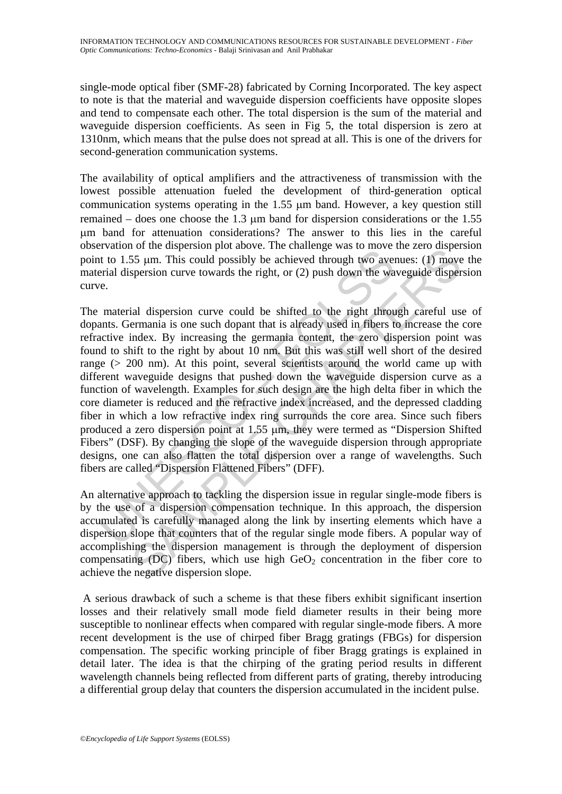single-mode optical fiber (SMF-28) fabricated by Corning Incorporated. The key aspect to note is that the material and waveguide dispersion coefficients have opposite slopes and tend to compensate each other. The total dispersion is the sum of the material and waveguide dispersion coefficients. As seen in Fig 5, the total dispersion is zero at 1310nm, which means that the pulse does not spread at all. This is one of the drivers for second-generation communication systems.

The availability of optical amplifiers and the attractiveness of transmission with the lowest possible attenuation fueled the development of third-generation optical communication systems operating in the 1.55 μm band. However, a key question still remained – does one choose the 1.3 μm band for dispersion considerations or the 1.55 μm band for attenuation considerations? The answer to this lies in the careful observation of the dispersion plot above. The challenge was to move the zero dispersion point to 1.55 μm. This could possibly be achieved through two avenues: (1) move the material dispersion curve towards the right, or (2) push down the waveguide dispersion curve.

Example of the desperation protocole. The changing was obvioured in the U.55  $\mu$ m. This could possibly be achieved through two averserial dispersion curve towards the right, or (2) push down the wall matterial dispersion For an universidant produce. The canneling was to move the zero usised<br>S5  $\mu$ m. This could possibly be achieved through two avenues: (1) move<br>spersion curve towards the right, or (2) push down the waveguide disper<br>spersi The material dispersion curve could be shifted to the right through careful use of dopants. Germania is one such dopant that is already used in fibers to increase the core refractive index. By increasing the germania content, the zero dispersion point was found to shift to the right by about 10 nm. But this was still well short of the desired range ( $> 200$  nm). At this point, several scientists around the world came up with different waveguide designs that pushed down the waveguide dispersion curve as a function of wavelength. Examples for such design are the high delta fiber in which the core diameter is reduced and the refractive index increased, and the depressed cladding fiber in which a low refractive index ring surrounds the core area. Since such fibers produced a zero dispersion point at 1.55 μm, they were termed as "Dispersion Shifted Fibers" (DSF). By changing the slope of the waveguide dispersion through appropriate designs, one can also flatten the total dispersion over a range of wavelengths. Such fibers are called "Dispersion Flattened Fibers" (DFF).

An alternative approach to tackling the dispersion issue in regular single-mode fibers is by the use of a dispersion compensation technique. In this approach, the dispersion accumulated is carefully managed along the link by inserting elements which have a dispersion slope that counters that of the regular single mode fibers. A popular way of accomplishing the dispersion management is through the deployment of dispersion compensating (DC) fibers, which use high  $GeO<sub>2</sub>$  concentration in the fiber core to achieve the negative dispersion slope.

 A serious drawback of such a scheme is that these fibers exhibit significant insertion losses and their relatively small mode field diameter results in their being more susceptible to nonlinear effects when compared with regular single-mode fibers. A more recent development is the use of chirped fiber Bragg gratings (FBGs) for dispersion compensation. The specific working principle of fiber Bragg gratings is explained in detail later. The idea is that the chirping of the grating period results in different wavelength channels being reflected from different parts of grating, thereby introducing a differential group delay that counters the dispersion accumulated in the incident pulse.